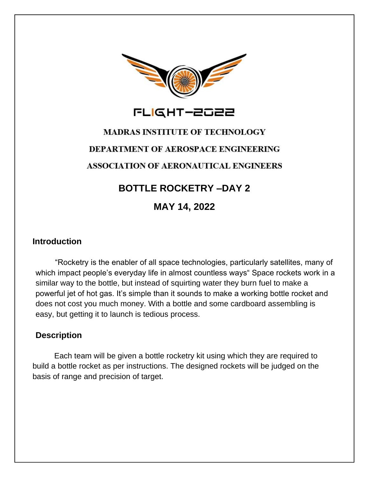

# **MADRAS INSTITUTE OF TECHNOLOGY DEPARTMENT OF AEROSPACE ENGINEERING ASSOCIATION OF AERONAUTICAL ENGINEERS**

## **BOTTLE ROCKETRY –DAY 2**

**MAY 14, 2022**

#### **Introduction**

 "Rocketry is the enabler of all space technologies, particularly satellites, many of which impact people's everyday life in almost countless ways" Space rockets work in a similar way to the bottle, but instead of squirting water they burn fuel to make a powerful jet of hot gas. It's simple than it sounds to make a working bottle rocket and does not cost you much money. With a bottle and some cardboard assembling is easy, but getting it to launch is tedious process.

#### **Description**

 Each team will be given a bottle rocketry kit using which they are required to build a bottle rocket as per instructions. The designed rockets will be judged on the basis of range and precision of target.